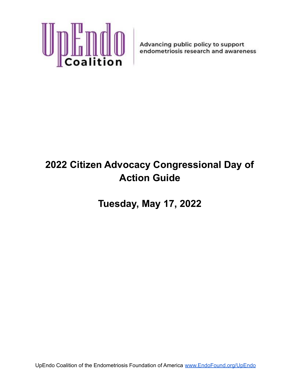

# **2022 Citizen Advocacy Congressional Day of Action Guide**

**Tuesday, May 17, 2022**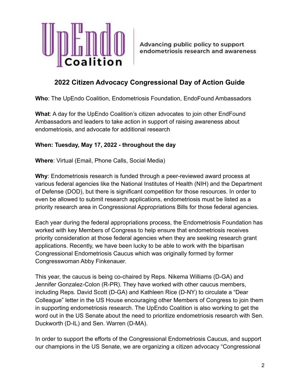

# **2022 Citizen Advocacy Congressional Day of Action Guide**

**Who**: The UpEndo Coalition, Endometriosis Foundation, EndoFound Ambassadors

**What**: A day for the UpEndo Coalition's citizen advocates to join other EndFound Ambassadors and leaders to take action in support of raising awareness about endometriosis, and advocate for additional research

## **When: Tuesday, May 17, 2022 - throughout the day**

**Where**: Virtual (Email, Phone Calls, Social Media)

**Why**: Endometriosis research is funded through a peer-reviewed award process at various federal agencies like the National Institutes of Health (NIH) and the Department of Defense (DOD), but there is significant competition for those resources. In order to even be allowed to submit research applications, endometriosis must be listed as a priority research area in Congressional Appropriations Bills for those federal agencies.

Each year during the federal appropriations process, the Endometriosis Foundation has worked with key Members of Congress to help ensure that endometriosis receives priority consideration at those federal agencies when they are seeking research grant applications. Recently, we have been lucky to be able to work with the bipartisan Congressional Endometriosis Caucus which was originally formed by former Congresswoman Abby Finkenauer.

This year, the caucus is being co-chaired by Reps. Nikema Williams (D-GA) and Jennifer Gonzalez-Colon (R-PR). They have worked with other caucus members, including Reps. David Scott (D-GA) and Kathleen Rice (D-NY) to circulate a "Dear Colleague" letter in the US House encouraging other Members of Congress to join them in supporting endometriosis research. The UpEndo Coalition is also working to get the word out in the US Senate about the need to prioritize endometriosis research with Sen. Duckworth (D-IL) and Sen. Warren (D-MA).

In order to support the efforts of the Congressional Endometriosis Caucus, and support our champions in the US Senate, we are organizing a citizen advocacy "Congressional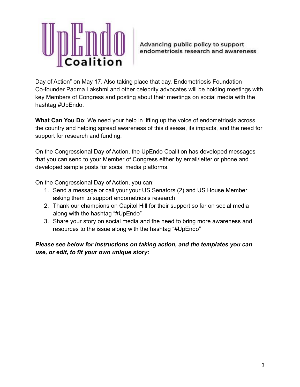

Day of Action" on May 17. Also taking place that day, Endometriosis Foundation Co-founder Padma Lakshmi and other celebrity advocates will be holding meetings with key Members of Congress and posting about their meetings on social media with the hashtag #UpEndo.

**What Can You Do**: We need your help in lifting up the voice of endometriosis across the country and helping spread awareness of this disease, its impacts, and the need for support for research and funding.

On the Congressional Day of Action, the UpEndo Coalition has developed messages that you can send to your Member of Congress either by email/letter or phone and developed sample posts for social media platforms.

On the Congressional Day of Action, you can:

- 1. Send a message or call your your US Senators (2) and US House Member asking them to support endometriosis research
- 2. Thank our champions on Capitol Hill for their support so far on social media along with the hashtag "#UpEndo"
- 3. Share your story on social media and the need to bring more awareness and resources to the issue along with the hashtag "#UpEndo"

*Please see below for instructions on taking action, and the templates you can use, or edit, to fit your own unique story:*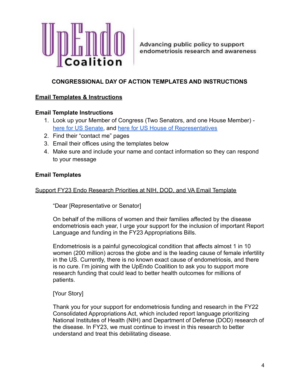

## **CONGRESSIONAL DAY OF ACTION TEMPLATES AND INSTRUCTIONS**

#### **Email Templates & Instructions**

#### **Email Template Instructions**

- 1. Look up your Member of Congress (Two Senators, and one House Member) [here for US Senate,](https://www.senate.gov/senators/senators-contact.htm) and [here for US House of Representatives](https://www.house.gov/representatives/find-your-representative)
- 2. Find their "contact me" pages
- 3. Email their offices using the templates below
- 4. Make sure and include your name and contact information so they can respond to your message

#### **Email Templates**

#### Support FY23 Endo Research Priorities at NIH, DOD, and VA Email Template

"Dear [Representative or Senator]

On behalf of the millions of women and their families affected by the disease endometriosis each year, I urge your support for the inclusion of important Report Language and funding in the FY23 Appropriations Bills.

Endometriosis is a painful gynecological condition that affects almost 1 in 10 women (200 million) across the globe and is the leading cause of female infertility in the US. Currently, there is no known exact cause of endometriosis, and there is no cure. I'm joining with the UpEndo Coalition to ask you to support more research funding that could lead to better health outcomes for millions of patients.

#### [Your Story]

Thank you for your support for endometriosis funding and research in the FY22 Consolidated Appropriations Act, which included report language prioritizing National Institutes of Health (NIH) and Department of Defense (DOD) research of the disease. In FY23, we must continue to invest in this research to better understand and treat this debilitating disease.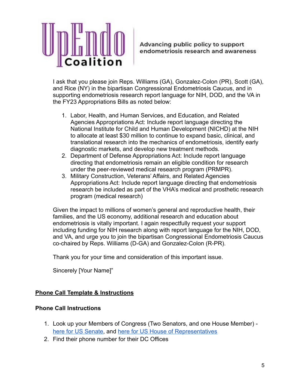

I ask that you please join Reps. Williams (GA), Gonzalez-Colon (PR), Scott (GA), and Rice (NY) in the bipartisan Congressional Endometriosis Caucus, and in supporting endometriosis research report language for NIH, DOD, and the VA in the FY23 Appropriations Bills as noted below:

- 1. Labor, Health, and Human Services, and Education, and Related Agencies Appropriations Act: Include report language directing the National Institute for Child and Human Development (NICHD) at the NIH to allocate at least \$30 million to continue to expand basic, clinical, and translational research into the mechanics of endometriosis, identify early diagnostic markets, and develop new treatment methods.
- 2. Department of Defense Appropriations Act: Include report language directing that endometriosis remain an eligible condition for research under the peer-reviewed medical research program (PRMPR).
- 3. Military Construction, Veterans' Affairs, and Related Agencies Appropriations Act: Include report language directing that endometriosis research be included as part of the VHA's medical and prosthetic research program (medical research)

Given the impact to millions of women's general and reproductive health, their families, and the US economy, additional research and education about endometriosis is vitally important. I again respectfully request your support including funding for NIH research along with report language for the NIH, DOD, and VA, and urge you to join the bipartisan Congressional Endometriosis Caucus co-chaired by Reps. Williams (D-GA) and Gonzalez-Colon (R-PR).

Thank you for your time and consideration of this important issue.

Sincerely [Your Name]"

## **Phone Call Template & Instructions**

## **Phone Call Instructions**

- 1. Look up your Members of Congress (Two Senators, and one House Member) [here for US Senate,](https://www.senate.gov/senators/senators-contact.htm) and [here for US House of Representatives](https://www.house.gov/representatives/find-your-representative)
- 2. Find their phone number for their DC Offices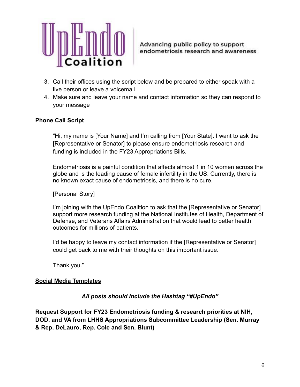

- 3. Call their offices using the script below and be prepared to either speak with a live person or leave a voicemail
- 4. Make sure and leave your name and contact information so they can respond to your message

## **Phone Call Script**

"Hi, my name is [Your Name] and I'm calling from [Your State]. I want to ask the [Representative or Senator] to please ensure endometriosis research and funding is included in the FY23 Appropriations Bills.

Endometriosis is a painful condition that affects almost 1 in 10 women across the globe and is the leading cause of female infertility in the US. Currently, there is no known exact cause of endometriosis, and there is no cure.

[Personal Story]

I'm joining with the UpEndo Coalition to ask that the [Representative or Senator] support more research funding at the National Institutes of Health, Department of Defense, and Veterans Affairs Administration that would lead to better health outcomes for millions of patients.

I'd be happy to leave my contact information if the [Representative or Senator] could get back to me with their thoughts on this important issue.

Thank you."

## **Social Media Templates**

*All posts should include the Hashtag "#UpEndo"*

**Request Support for FY23 Endometriosis funding & research priorities at NIH, DOD, and VA from LHHS Appropriations Subcommittee Leadership (Sen. Murray & Rep. DeLauro, Rep. Cole and Sen. Blunt)**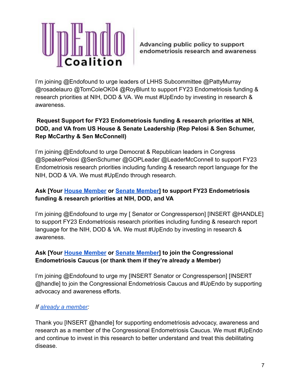

I'm joining @Endofound to urge leaders of LHHS Subcommittee @PattyMurray @rosadelauro @TomColeOK04 @RoyBlunt to support FY23 Endometriosis funding & research priorities at NIH, DOD & VA. We must #UpEndo by investing in research & awareness.

# **Request Support for FY23 Endometriosis funding & research priorities at NIH, DOD, and VA from US House & Senate Leadership (Rep Pelosi & Sen Schumer, Rep McCarthy & Sen McConnell)**

I'm joining @Endofound to urge Democrat & Republican leaders in Congress @SpeakerPelosi @SenSchumer @GOPLeader @LeaderMcConnell to support FY23 Endometriosis research priorities including funding & research report language for the NIH, DOD & VA. We must #UpEndo through research.

# **Ask [Your [House Member](https://pressgallery.house.gov/member-data/members-official-twitter-handles) or [Senate Member\]](https://www.autismspeaks.org/sites/default/files/116th%20Senator%20Twitter%20Handles.pdf) to support FY23 Endometriosis funding & research priorities at NIH, DOD, and VA**

I'm joining @Endofound to urge my [ Senator or Congressperson] [INSERT @HANDLE] to support FY23 Endometriosis research priorities including funding & research report language for the NIH, DOD & VA. We must #UpEndo by investing in research & awareness.

# **Ask [Your [House Member](https://pressgallery.house.gov/member-data/members-official-twitter-handles) or [Senate Member\]](https://www.autismspeaks.org/sites/default/files/116th%20Senator%20Twitter%20Handles.pdf) to join the Congressional Endometriosis Caucus (or thank them if they're already a Member)**

I'm joining @Endofound to urge my [INSERT Senator or Congressperson] [INSERT @handle] to join the Congressional Endometriosis Caucus and #UpEndo by supporting advocacy and awareness efforts.

## *If [already a member:](https://www.endofound.org/upendo-members)*

Thank you [INSERT @handle] for supporting endometriosis advocacy, awareness and research as a member of the Congressional Endometriosis Caucus. We must #UpEndo and continue to invest in this research to better understand and treat this debilitating disease.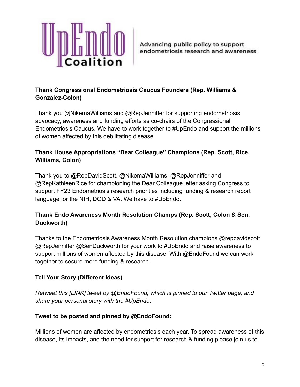

## **Thank Congressional Endometriosis Caucus Founders (Rep. Williams & Gonzalez-Colon)**

Thank you @NikemaWilliams and @RepJenniffer for supporting endometriosis advocacy, awareness and funding efforts as co-chairs of the Congressional Endometriosis Caucus. We have to work together to #UpEndo and support the millions of women affected by this debilitating disease.

# **Thank House Appropriations "Dear Colleague" Champions (Rep. Scott, Rice, Williams, Colon)**

Thank you to @RepDavidScott, @NikemaWilliams, @RepJenniffer and @RepKathleenRice for championing the Dear Colleague letter asking Congress to support FY23 Endometriosis research priorities including funding & research report language for the NIH, DOD & VA. We have to #UpEndo.

## **Thank Endo Awareness Month Resolution Champs (Rep. Scott, Colon & Sen. Duckworth)**

Thanks to the Endometriosis Awareness Month Resolution champions @repdavidscott @RepJenniffer @SenDuckworth for your work to #UpEndo and raise awareness to support millions of women affected by this disease. With @EndoFound we can work together to secure more funding & research.

## **Tell Your Story (Different Ideas)**

*Retweet this [LINK] tweet by @EndoFound, which is pinned to our Twitter page, and share your personal story with the #UpEndo.*

## **Tweet to be posted and pinned by @EndoFound:**

Millions of women are affected by endometriosis each year. To spread awareness of this disease, its impacts, and the need for support for research & funding please join us to